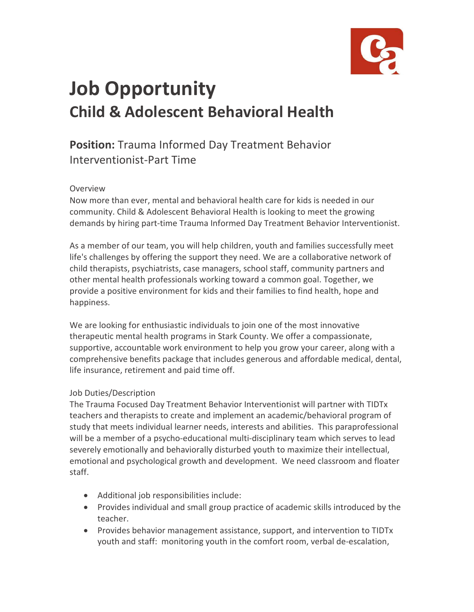

# **Job Opportunity Child & Adolescent Behavioral Health**

## **Position:** Trauma Informed Day Treatment Behavior Interventionist-Part Time

#### Overview

Now more than ever, mental and behavioral health care for kids is needed in our community. Child & Adolescent Behavioral Health is looking to meet the growing demands by hiring part-time Trauma Informed Day Treatment Behavior Interventionist.

As a member of our team, you will help children, youth and families successfully meet life's challenges by offering the support they need. We are a collaborative network of child therapists, psychiatrists, case managers, school staff, community partners and other mental health professionals working toward a common goal. Together, we provide a positive environment for kids and their families to find health, hope and happiness.

We are looking for enthusiastic individuals to join one of the most innovative therapeutic mental health programs in Stark County. We offer a compassionate, supportive, accountable work environment to help you grow your career, along with a comprehensive benefits package that includes generous and affordable medical, dental, life insurance, retirement and paid time off.

### Job Duties/Description

The Trauma Focused Day Treatment Behavior Interventionist will partner with TIDTx teachers and therapists to create and implement an academic/behavioral program of study that meets individual learner needs, interests and abilities. This paraprofessional will be a member of a psycho-educational multi-disciplinary team which serves to lead severely emotionally and behaviorally disturbed youth to maximize their intellectual, emotional and psychological growth and development. We need classroom and floater staff.

- Additional job responsibilities include:
- Provides individual and small group practice of academic skills introduced by the teacher.
- Provides behavior management assistance, support, and intervention to TIDTx youth and staff: monitoring youth in the comfort room, verbal de-escalation,